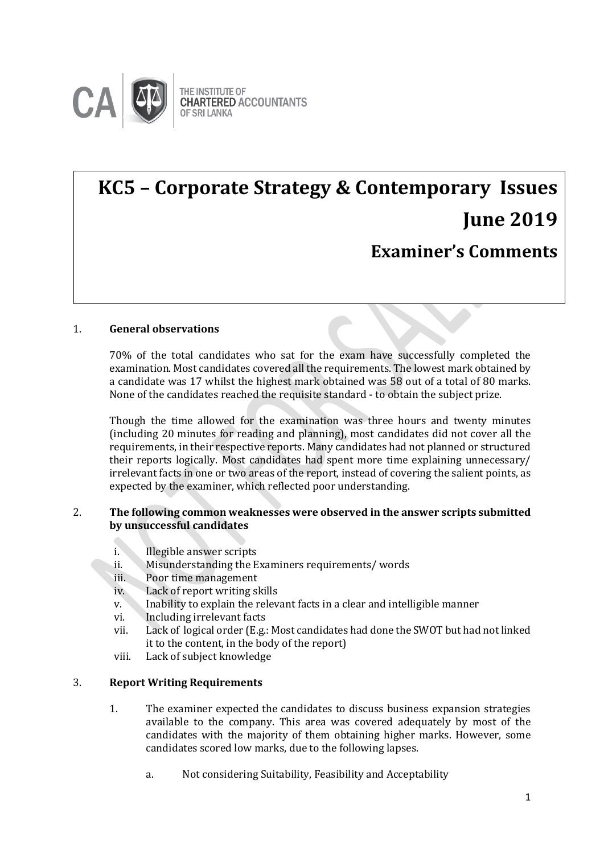

## **KC5 – Corporate Strategy & Contemporary Issues June 2019 Examiner's Comments**

## 1. **General observations**

70% of the total candidates who sat for the exam have successfully completed the examination. Most candidates covered all the requirements. The lowest mark obtained by a candidate was 17 whilst the highest mark obtained was 58 out of a total of 80 marks. None of the candidates reached the requisite standard - to obtain the subject prize.

Though the time allowed for the examination was three hours and twenty minutes (including 20 minutes for reading and planning), most candidates did not cover all the requirements, in their respective reports. Many candidates had not planned or structured their reports logically. Most candidates had spent more time explaining unnecessary/ irrelevant facts in one or two areas of the report, instead of covering the salient points, as expected by the examiner, which reflected poor understanding.

## 2. **The following common weaknesses were observed in the answer scripts submitted by unsuccessful candidates**

- i. Illegible answer scripts
- ii. Misunderstanding the Examiners requirements/ words
- iii. Poor time management
- iv. Lack of report writing skills
- v. Inability to explain the relevant facts in a clear and intelligible manner
- vi. Including irrelevant facts
- vii. Lack of logical order (E.g.: Most candidates had done the SWOT but had not linked it to the content, in the body of the report)
- viii. Lack of subject knowledge

## 3. **Report Writing Requirements**

- 1. The examiner expected the candidates to discuss business expansion strategies available to the company. This area was covered adequately by most of the candidates with the majority of them obtaining higher marks. However, some candidates scored low marks, due to the following lapses.
	- a. Not considering Suitability, Feasibility and Acceptability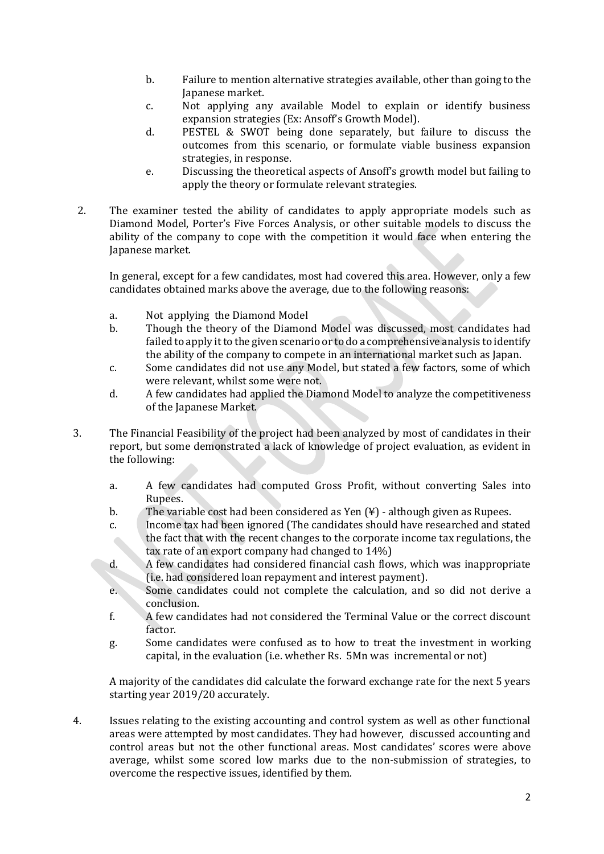- b. Failure to mention alternative strategies available, other than going to the Japanese market.
- c. Not applying any available Model to explain or identify business expansion strategies (Ex: Ansoff's Growth Model).
- d. PESTEL & SWOT being done separately, but failure to discuss the outcomes from this scenario, or formulate viable business expansion strategies, in response.
- e. Discussing the theoretical aspects of Ansoff's growth model but failing to apply the theory or formulate relevant strategies.
- 2. The examiner tested the ability of candidates to apply appropriate models such as Diamond Model, Porter's Five Forces Analysis, or other suitable models to discuss the ability of the company to cope with the competition it would face when entering the Japanese market.

In general, except for a few candidates, most had covered this area. However, only a few candidates obtained marks above the average, due to the following reasons:

- a. Not applying the Diamond Model
- b. Though the theory of the Diamond Model was discussed, most candidates had failed to apply it to the given scenario or to do a comprehensive analysis to identify the ability of the company to compete in an international market such as Japan.
- c. Some candidates did not use any Model, but stated a few factors, some of which were relevant, whilst some were not.
- d. A few candidates had applied the Diamond Model to analyze the competitiveness of the Japanese Market.
- 3. The Financial Feasibility of the project had been analyzed by most of candidates in their report, but some demonstrated a lack of knowledge of project evaluation, as evident in the following:
	- a. A few candidates had computed Gross Profit, without converting Sales into Rupees.
	- b. The variable cost had been considered as Yen (¥) although given as Rupees.
	- c. Income tax had been ignored (The candidates should have researched and stated the fact that with the recent changes to the corporate income tax regulations, the tax rate of an export company had changed to 14%)
	- d. A few candidates had considered financial cash flows, which was inappropriate (i.e. had considered loan repayment and interest payment).
	- e. Some candidates could not complete the calculation, and so did not derive a conclusion.
	- f. A few candidates had not considered the Terminal Value or the correct discount factor.
	- g. Some candidates were confused as to how to treat the investment in working capital, in the evaluation (i.e. whether Rs. 5Mn was incremental or not)

A majority of the candidates did calculate the forward exchange rate for the next 5 years starting year 2019/20 accurately.

4. Issues relating to the existing accounting and control system as well as other functional areas were attempted by most candidates. They had however, discussed accounting and control areas but not the other functional areas. Most candidates' scores were above average, whilst some scored low marks due to the non-submission of strategies, to overcome the respective issues, identified by them.